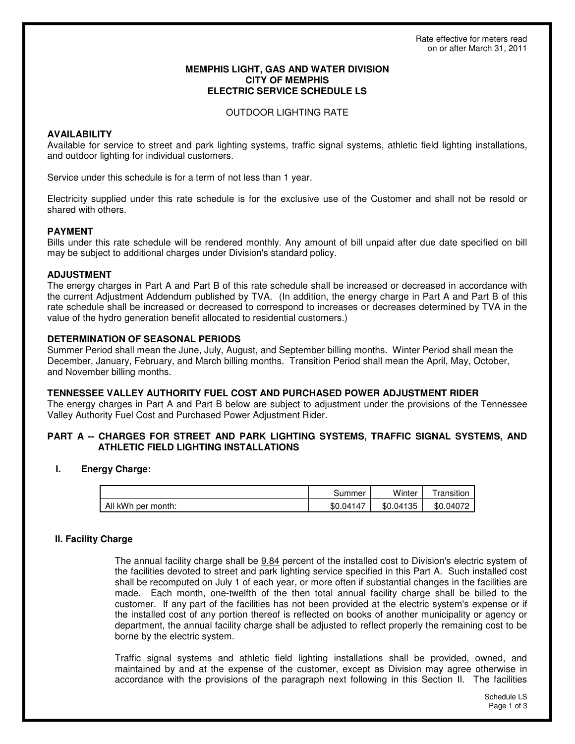### **MEMPHIS LIGHT, GAS AND WATER DIVISION CITY OF MEMPHIS ELECTRIC SERVICE SCHEDULE LS**

### OUTDOOR LIGHTING RATE

# **AVAILABILITY**

Available for service to street and park lighting systems, traffic signal systems, athletic field lighting installations, and outdoor lighting for individual customers.

Service under this schedule is for a term of not less than 1 year.

Electricity supplied under this rate schedule is for the exclusive use of the Customer and shall not be resold or shared with others.

### **PAYMENT**

Bills under this rate schedule will be rendered monthly. Any amount of bill unpaid after due date specified on bill may be subject to additional charges under Division's standard policy.

### **ADJUSTMENT**

The energy charges in Part A and Part B of this rate schedule shall be increased or decreased in accordance with the current Adjustment Addendum published by TVA. (In addition, the energy charge in Part A and Part B of this rate schedule shall be increased or decreased to correspond to increases or decreases determined by TVA in the value of the hydro generation benefit allocated to residential customers.)

### **DETERMINATION OF SEASONAL PERIODS**

Summer Period shall mean the June, July, August, and September billing months. Winter Period shall mean the December, January, February, and March billing months. Transition Period shall mean the April, May, October, and November billing months.

### **TENNESSEE VALLEY AUTHORITY FUEL COST AND PURCHASED POWER ADJUSTMENT RIDER**

The energy charges in Part A and Part B below are subject to adjustment under the provisions of the Tennessee Valley Authority Fuel Cost and Purchased Power Adjustment Rider.

# **PART A -- CHARGES FOR STREET AND PARK LIGHTING SYSTEMS, TRAFFIC SIGNAL SYSTEMS, AND ATHLETIC FIELD LIGHTING INSTALLATIONS**

### **I. Energy Charge:**

|                    | കummer    | Winter    | ∣ ransıtıon |
|--------------------|-----------|-----------|-------------|
| All kWh per month: | \$0.04147 | \$0.04135 | \$0.04072   |

# **II. Facility Charge**

The annual facility charge shall be 9.84 percent of the installed cost to Division's electric system of the facilities devoted to street and park lighting service specified in this Part A. Such installed cost shall be recomputed on July 1 of each year, or more often if substantial changes in the facilities are made. Each month, one-twelfth of the then total annual facility charge shall be billed to the customer. If any part of the facilities has not been provided at the electric system's expense or if the installed cost of any portion thereof is reflected on books of another municipality or agency or department, the annual facility charge shall be adjusted to reflect properly the remaining cost to be borne by the electric system.

Traffic signal systems and athletic field lighting installations shall be provided, owned, and maintained by and at the expense of the customer, except as Division may agree otherwise in accordance with the provisions of the paragraph next following in this Section II. The facilities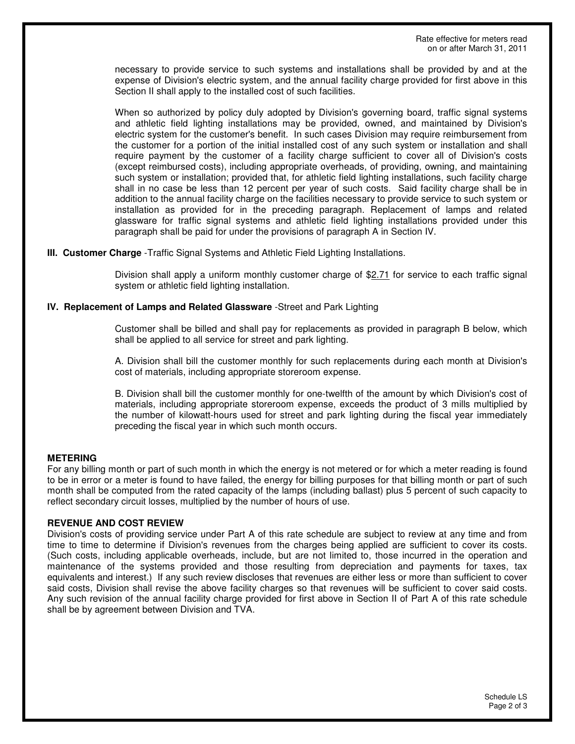necessary to provide service to such systems and installations shall be provided by and at the expense of Division's electric system, and the annual facility charge provided for first above in this Section II shall apply to the installed cost of such facilities.

When so authorized by policy duly adopted by Division's governing board, traffic signal systems and athletic field lighting installations may be provided, owned, and maintained by Division's electric system for the customer's benefit. In such cases Division may require reimbursement from the customer for a portion of the initial installed cost of any such system or installation and shall require payment by the customer of a facility charge sufficient to cover all of Division's costs (except reimbursed costs), including appropriate overheads, of providing, owning, and maintaining such system or installation; provided that, for athletic field lighting installations, such facility charge shall in no case be less than 12 percent per year of such costs. Said facility charge shall be in addition to the annual facility charge on the facilities necessary to provide service to such system or installation as provided for in the preceding paragraph. Replacement of lamps and related glassware for traffic signal systems and athletic field lighting installations provided under this paragraph shall be paid for under the provisions of paragraph A in Section IV.

**III. Customer Charge** -Traffic Signal Systems and Athletic Field Lighting Installations.

Division shall apply a uniform monthly customer charge of \$2.71 for service to each traffic signal system or athletic field lighting installation.

### **IV. Replacement of Lamps and Related Glassware** -Street and Park Lighting

Customer shall be billed and shall pay for replacements as provided in paragraph B below, which shall be applied to all service for street and park lighting.

A. Division shall bill the customer monthly for such replacements during each month at Division's cost of materials, including appropriate storeroom expense.

B. Division shall bill the customer monthly for one-twelfth of the amount by which Division's cost of materials, including appropriate storeroom expense, exceeds the product of 3 mills multiplied by the number of kilowatt-hours used for street and park lighting during the fiscal year immediately preceding the fiscal year in which such month occurs.

# **METERING**

For any billing month or part of such month in which the energy is not metered or for which a meter reading is found to be in error or a meter is found to have failed, the energy for billing purposes for that billing month or part of such month shall be computed from the rated capacity of the lamps (including ballast) plus 5 percent of such capacity to reflect secondary circuit losses, multiplied by the number of hours of use.

### **REVENUE AND COST REVIEW**

Division's costs of providing service under Part A of this rate schedule are subject to review at any time and from time to time to determine if Division's revenues from the charges being applied are sufficient to cover its costs. (Such costs, including applicable overheads, include, but are not limited to, those incurred in the operation and maintenance of the systems provided and those resulting from depreciation and payments for taxes, tax equivalents and interest.) If any such review discloses that revenues are either less or more than sufficient to cover said costs, Division shall revise the above facility charges so that revenues will be sufficient to cover said costs. Any such revision of the annual facility charge provided for first above in Section II of Part A of this rate schedule shall be by agreement between Division and TVA.